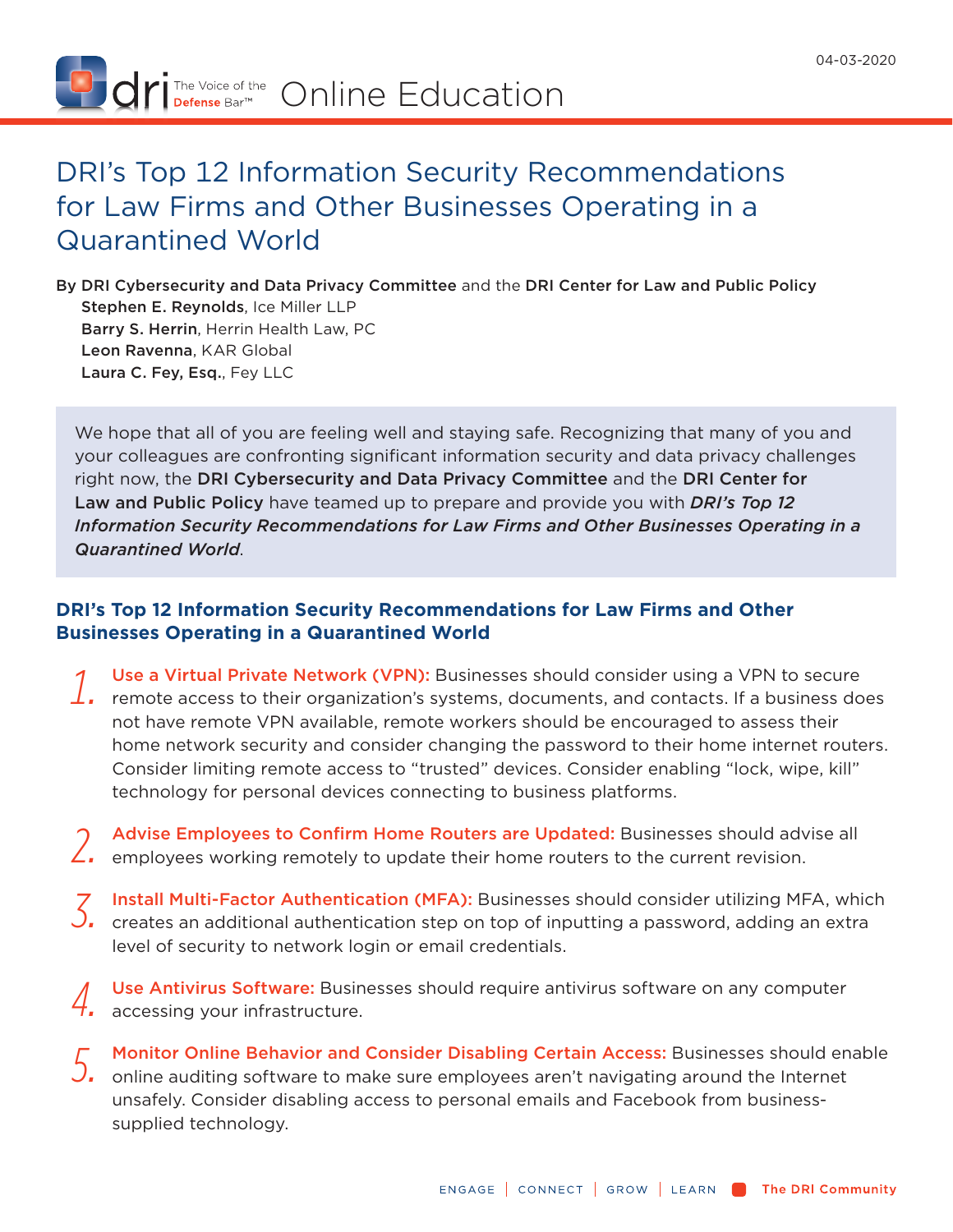

## DRI's Top 12 Information Security Recommendations for Law Firms and Other Businesses Operating in a Quarantined World

By DRI Cybersecurity and Data Privacy Committee and the DRI Center for Law and Public Policy Stephen E. Reynolds, Ice Miller LLP Barry S. Herrin, Herrin Health Law, PC Leon Ravenna, KAR Global Laura C. Fey, Esq., Fey LLC

We hope that all of you are feeling well and staying safe. Recognizing that many of you and your colleagues are confronting significant information security and data privacy challenges right now, the DRI Cybersecurity and Data Privacy Committee and the DRI Center for Law and Public Policy have teamed up to prepare and provide you with *DRI's Top 12 Information Security Recommendations for Law Firms and Other Businesses Operating in a Quarantined World*.

## **DRI's Top 12 Information Security Recommendations for Law Firms and Other Businesses Operating in a Quarantined World**

- 1. Use a Virtual Private Network (VPN): Businesses should consider using a VPN to secure<br>1. remote access to their organization's systems, documents, and contacts. If a business does not have remote VPN available, remote workers should be encouraged to assess their home network security and consider changing the password to their home internet routers. Consider limiting remote access to "trusted" devices. Consider enabling "lock, wipe, kill" technology for personal devices connecting to business platforms.
- 2. Advise Employees to Confirm Home Routers are Updated: Businesses should advise all<br>2. employees working remotely to update their home routers to the current revision.
- *3.* Install Multi-Factor Authentication (MFA): Businesses should consider utilizing MFA, which creates an additional authentication step on top of inputting a password, adding an extra level of security to network login or email credentials.
- *4.* Use Antivirus Software: Businesses should require antivirus software on any computer 4. accessing your infrastructure.
- *5.* Monitor Online Behavior and Consider Disabling Certain Access: Businesses should enable online auditing software to make sure employees aren't navigating around the Internet unsafely. Consider disabling access to personal emails and Facebook from businesssupplied technology.